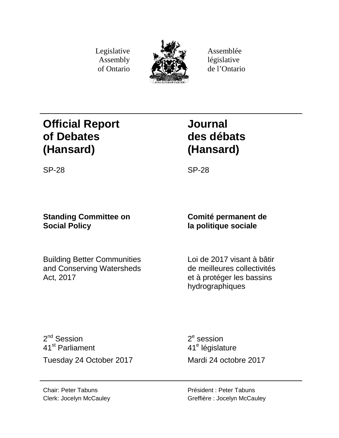Legislative Assembly of Ontario



Assemblée législative de l'Ontario

# **Official Report of Debates (Hansard)**

# **Journal des débats (Hansard)**

SP-28 SP-28

# **Standing Committee on Social Policy**

Building Better Communities and Conserving Watersheds Act, 2017

# **Comité permanent de la politique sociale**

Loi de 2017 visant à bâtir de meilleures collectivités et à protéger les bassins hydrographiques

2<sup>nd</sup> Session 41st Parliament Tuesday 24 October 2017 Mardi 24 octobre 2017

 $2<sup>e</sup>$  session 41<sup>e</sup> législature

Chair: Peter Tabuns Clerk: Jocelyn McCauley Président : Peter Tabuns Greffière : Jocelyn McCauley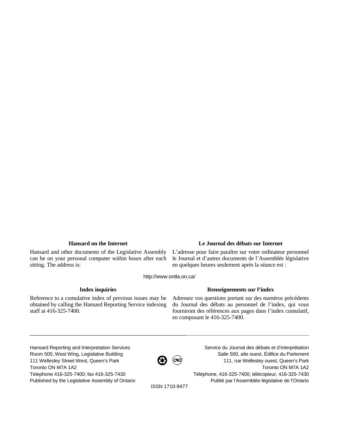Hansard and other documents of the Legislative Assembly can be on your personal computer within hours after each sitting. The address is:

# **Hansard on the Internet Le Journal des débats sur Internet**

L'adresse pour faire paraître sur votre ordinateur personnel le Journal et d'autres documents de l'Assemblée législative en quelques heures seulement après la séance est :

http://www.ontla.on.ca/

Reference to a cumulative index of previous issues may be obtained by calling the Hansard Reporting Service indexing staff at 416-325-7400.

# **Index inquiries Renseignements sur l'index**

Adressez vos questions portant sur des numéros précédents du Journal des débats au personnel de l'index, qui vous fourniront des références aux pages dans l'index cumulatif, en composant le 416-325-7400.

Hansard Reporting and Interpretation Services Room 500, West Wing, Legislative Building 111 Wellesley Street West, Queen's Park Toronto ON M7A 1A2 Telephone 416-325-7400; fax 416-325-7430 Published by the Legislative Assembly of Ontario



Service du Journal des débats et d'interprétation Salle 500, aile ouest, Édifice du Parlement 111, rue Wellesley ouest, Queen's Park Toronto ON M7A 1A2 Téléphone, 416-325-7400; télécopieur, 416-325-7430 Publié par l'Assemblée législative de l'Ontario

ISSN 1710-9477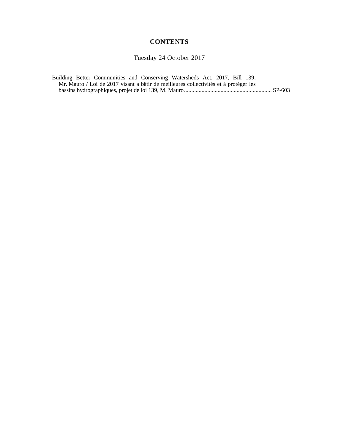# **CONTENTS**

Tuesday 24 October 2017

Building Better Communities and Conserving Watersheds Act, 2017, Bill 139, Mr. Mauro / Loi de 2017 visant à bâtir de meilleures collectivités et à protéger les bassins hydrographiques, projet de loi 139, M. Mauro............................................................ SP-603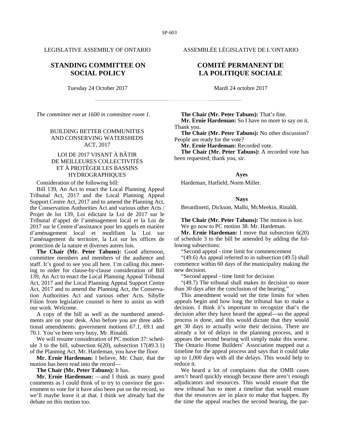# **STANDING COMMITTEE ON SOCIAL POLICY**

Tuesday 24 October 2017 Mardi 24 octobre 2017

*The committee met at 1600 in committee room 1.*

## BUILDING BETTER COMMUNITIES AND CONSERVING WATERSHEDS ACT, 2017

## LOI DE 2017 VISANT À BÂTIR DE MEILLEURES COLLECTIVITÉS ET À PROTÉGER LES BASSINS HYDROGRAPHIQUES

Consideration of the following bill:

Bill 139, An Act to enact the Local Planning Appeal Tribunal Act, 2017 and the Local Planning Appeal Support Centre Act, 2017 and to amend the Planning Act, the Conservation Authorities Act and various other Acts / Projet de loi 139, Loi édictant la Loi de 2017 sur le Tribunal d'appel de l'aménagement local et la Loi de 2017 sur le Centre d'assistance pour les appels en matière d'aménagement local et modifiant la Loi sur l'aménagement du territoire, la Loi sur les offices de protection de la nature et diverses autres lois.

**The Chair (Mr. Peter Tabuns):** Good afternoon, committee members and members of the audience and staff. It's good to see you all here. I'm calling this meeting to order for clause-by-clause consideration of Bill 139, An Act to enact the Local Planning Appeal Tribunal Act, 2017 and the Local Planning Appeal Support Centre Act, 2017 and to amend the Planning Act, the Conservation Authorities Act and various other Acts. Sibylle Filion from legislative counsel is here to assist us with our work. Welcome.

A copy of the bill as well as the numbered amendments are on your desk. Also before you are three additional amendments: government motions 67.1, 69.1 and 70.1. You've been very busy, Mr. Rinaldi.

We will resume consideration of PC motion 37: schedule 3 to the bill, subsection  $6(20)$ , subsection  $17(49.3.1)$ of the Planning Act. Mr. Hardeman, you have the floor.

**Mr. Ernie Hardeman:** I believe, Mr. Chair, that the motion has been read into the record—

**The Chair (Mr. Peter Tabuns):** It has.

**Mr. Ernie Hardeman:** —and I think as many good comments as I could think of to try to convince the government to vote for it have also been put on the record, so we'll maybe leave it at that. I think we already had the debate on this motion too.

LEGISLATIVE ASSEMBLY OF ONTARIO ASSEMBLÉE LÉGISLATIVE DE L'ONTARIO

# **COMITÉ PERMANENT DE LA POLITIQUE SOCIALE**

**The Chair (Mr. Peter Tabuns):** That's fine.

**Mr. Ernie Hardeman:** So I have no more to say on it. Thank you.

**The Chair (Mr. Peter Tabuns):** No other discussion? People are ready for the vote?

**Mr. Ernie Hardeman:** Recorded vote.

**The Chair (Mr. Peter Tabuns):** A recorded vote has been requested; thank you, sir.

#### **Ayes**

Hardeman, Hatfield, Norm Miller.

#### **Nays**

Berardinetti, Dickson, Malhi, McMeekin, Rinaldi.

**The Chair (Mr. Peter Tabuns):** The motion is lost. We go now to PC motion 38. Mr. Hardeman.

**Mr. Ernie Hardeman:** I move that subsection 6(20) of schedule 3 to the bill be amended by adding the following subsections:

"Second appeal - time limit for commencement

"(49.6) An appeal referred to in subsection (49.5) shall commence within 60 days of the municipality making the new decision.

"Second appeal - time limit for decision

"(49.7) The tribunal shall makes its decision no more than 30 days after the conclusion of the hearing."

This amendment would set the time limits for when appeals begin and how long the tribunal has to make a decision. I think it's important to recognize that's the decision after they have heard the appeal—so the appeal process is done, and this would dictate that they would get 30 days to actually write their decision. There are already a lot of delays in the planning process, and it appears the second hearing will simply make this worse. The Ontario Home Builders' Association mapped out a timeline for the appeal process and says that it could take up to 1,000 days with all the delays. This would help to reduce it.

We heard a lot of complaints that the OMB cases aren't heard quickly enough because there aren't enough adjudicators and resources. This would ensure that the new tribunal has to meet a timeline that would ensure that the resources are in place to make that happen. By the time the appeal reaches the second hearing, the par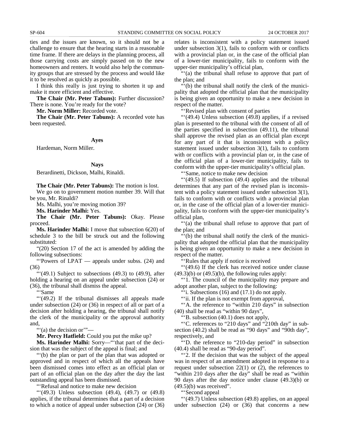ties and the issues are known, so it should not be a challenge to ensure that the hearing starts in a reasonable time frame. If there are delays in the planning process, all those carrying costs are simply passed on to the new homeowners and renters. It would also help the community groups that are stressed by the process and would like it to be resolved as quickly as possible.

I think this really is just trying to shorten it up and make it more efficient and effective.

**The Chair (Mr. Peter Tabuns):** Further discussion? There is none. You're ready for the vote?

**Mr. Norm Miller:** Recorded vote.

**The Chair (Mr. Peter Tabuns):** A recorded vote has been requested.

#### **Ayes**

Hardeman, Norm Miller.

#### **Nays**

Berardinetti, Dickson, Malhi, Rinaldi.

**The Chair (Mr. Peter Tabuns):** The motion is lost.

We go on to government motion number 39. Will that be you, Mr. Rinaldi?

Ms. Malhi, you're moving motion 39?

**Ms. Harinder Malhi:** Yes.

**The Chair (Mr. Peter Tabuns):** Okay. Please proceed.

**Ms. Harinder Malhi:** I move that subsection 6(20) of schedule 3 to the bill be struck out and the following substituted:

"(20) Section 17 of the act is amended by adding the following subsections:

"'Powers of LPAT — appeals under subss. (24) and (36)

 $\lq(49.1)$  Subject to subsections  $(49.3)$  to  $(49.9)$ , after holding a hearing on an appeal under subsection (24) or (36), the tribunal shall dismiss the appeal.

"'Same

"'(49.2) If the tribunal dismisses all appeals made under subsection (24) or (36) in respect of all or part of a decision after holding a hearing, the tribunal shall notify the clerk of the municipality or the approval authority and,

"'(a) the decision or'"—

**Mr. Percy Hatfield:** Could you put the mike up?

**Ms. Harinder Malhi:** Sorry—"'that part of the decision that was the subject of the appeal is final; and

"'(b) the plan or part of the plan that was adopted or approved and in respect of which all the appeals have been dismissed comes into effect as an official plan or part of an official plan on the day after the day the last outstanding appeal has been dismissed.

"'Refusal and notice to make new decision

"'(49.3) Unless subsection (49.4), (49.7) or (49.8) applies, if the tribunal determines that a part of a decision to which a notice of appeal under subsection (24) or (36) relates is inconsistent with a policy statement issued under subsection 3(1), fails to conform with or conflicts with a provincial plan or, in the case of the official plan of a lower-tier municipality, fails to conform with the upper-tier municipality's official plan,

"'(a) the tribunal shall refuse to approve that part of the plan; and

"'(b) the tribunal shall notify the clerk of the municipality that adopted the official plan that the municipality is being given an opportunity to make a new decision in respect of the matter.

"'Revised plan with consent of parties

"'(49.4) Unless subsection (49.8) applies, if a revised plan is presented to the tribunal with the consent of all of the parties specified in subsection (49.11), the tribunal shall approve the revised plan as an official plan except for any part of it that is inconsistent with a policy statement issued under subsection 3(1), fails to conform with or conflicts with a provincial plan or, in the case of the official plan of a lower-tier municipality, fails to conform with the upper-tier municipality's official plan.

"'Same, notice to make new decision

"'(49.5) If subsection (49.4) applies and the tribunal determines that any part of the revised plan is inconsistent with a policy statement issued under subsection 3(1), fails to conform with or conflicts with a provincial plan or, in the case of the official plan of a lower-tier municipality, fails to conform with the upper-tier municipality's official plan,

"'(a) the tribunal shall refuse to approve that part of the plan; and

"'(b) the tribunal shall notify the clerk of the municipality that adopted the official plan that the municipality is being given an opportunity to make a new decision in respect of the matter.

"'Rules that apply if notice is received

"'(49.6) If the clerk has received notice under clause  $(49.3)(b)$  or  $(49.5)(b)$ , the following rules apply:

"'1. The council of the municipality may prepare and adopt another plan, subject to the following:

""i. Subsections  $(16)$  and  $(17.1)$  do not apply.

""ii. If the plan is not exempt from approval,

"'A. the reference to "within 210 days" in subsection (40) shall be read as "within 90 days",

"'B. subsection (40.1) does not apply,

"'C. references to "210 days" and "210th day" in subsection (40.2) shall be read as "90 days" and "90th day", respectively, and

"'D. the reference to "210-day period" in subsection (40.4) shall be read as "90-day period".

"'2. If the decision that was the subject of the appeal was in respect of an amendment adopted in response to a request under subsection 22(1) or (2), the references to "within 210 days after the day" shall be read as "within 90 days after the day notice under clause (49.3)(b) or  $(49.5)(b)$  was received".

"'Second appeal

"'(49.7) Unless subsection (49.8) applies, on an appeal under subsection (24) or (36) that concerns a new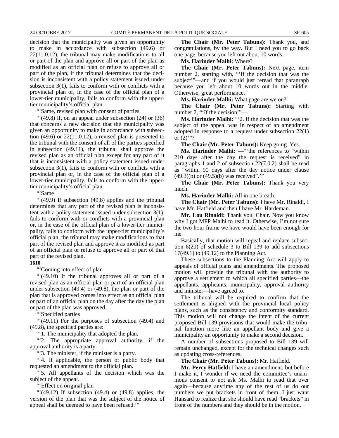decision that the municipality was given an opportunity to make in accordance with subsection (49.6) or 22(11.0.12), the tribunal may make modifications to all or part of the plan and approve all or part of the plan as modified as an official plan or refuse to approve all or part of the plan, if the tribunal determines that the decision is inconsistent with a policy statement issued under subsection 3(1), fails to conform with or conflicts with a provincial plan or, in the case of the official plan of a lower-tier municipality, fails to conform with the uppertier municipality's official plan.

"'Same, revised plan with consent of parties

" $(49.8)$  If, on an appeal under subsection  $(24)$  or  $(36)$ that concerns a new decision that the municipality was given an opportunity to make in accordance with subsection  $(49.6)$  or  $22(11.0.12)$ , a revised plan is presented to the tribunal with the consent of all of the parties specified in subsection (49.11), the tribunal shall approve the revised plan as an official plan except for any part of it that is inconsistent with a policy statement issued under subsection 3(1), fails to conform with or conflicts with a provincial plan or, in the case of the official plan of a lower-tier municipality, fails to conform with the uppertier municipality's official plan.

"'Same

"'(49.9) If subsection (49.8) applies and the tribunal determines that any part of the revised plan is inconsistent with a policy statement issued under subsection 3(1), fails to conform with or conflicts with a provincial plan or, in the case of the official plan of a lower-tier municipality, fails to conform with the upper-tier municipality's official plan, the tribunal may make modifications to that part of the revised plan and approve it as modified as part of an official plan or refuse to approve all or part of that part of the revised plan.

#### **1610**

"'Coming into effect of plan

"'(49.10) If the tribunal approves all or part of a revised plan as an official plan or part of an official plan under subsection (49.4) or (49.8), the plan or part of the plan that is approved comes into effect as an official plan or part of an official plan on the day after the day the plan or part of the plan was approved.

"'Specified parties

"'(49.11) For the purposes of subsection (49.4) and (49.8), the specified parties are:

"'1. The municipality that adopted the plan.

"'2. The appropriate approval authority, if the approval authority is a party.

"'3. The minister, if the minister is a party.

"'4. If applicable, the person or public body that requested an amendment to the official plan.

"'5. All appellants of the decision which was the subject of the appeal.

"'Effect on original plan

" $(49.12)$  If subsection  $(49.4)$  or  $(49.8)$  applies, the version of the plan that was the subject of the notice of appeal shall be deemed to have been refused.'"

**The Chair (Mr. Peter Tabuns):** Thank you, and congratulations, by the way. But I need you to go back one page, because you left out about 10 words.

**Ms. Harinder Malhi:** Where?

**The Chair (Mr. Peter Tabuns):** Next page, item number 2, starting with, "'If the decision that was the subject'"—and if you would just reread that paragraph because you left about 10 words out in the middle. Otherwise, great performance.

**Ms. Harinder Malhi:** What page are we on?

**The Chair (Mr. Peter Tabuns):** Starting with number 2, "'If the decision'"—

**Ms. Harinder Malhi:** "'2. If the decision that was the subject of the appeal was in respect of an amendment adopted in response to a request under subsection 22(1) or  $(2)$ "?

**The Chair (Mr. Peter Tabuns):** Keep going. Yes.

**Ms. Harinder Malhi:** —"'the references to "within 210 days after the day the request is received" in paragraphs 1 and 2 of subsection 22(7.0.2) shall be read as "within 90 days after the day notice under clause (49.3)(b) or (49.5)(b) was received".'"

**The Chair (Mr. Peter Tabuns):** Thank you very much.

**Ms. Harinder Malhi:** All in one breath.

**The Chair (Mr. Peter Tabuns):** I have Mr. Rinaldi, I have Mr. Hatfield and then I have Mr. Hardeman.

**Mr. Lou Rinaldi:** Thank you, Chair. Now you know why I got MPP Malhi to read it. Otherwise, I'm not sure the two-hour frame we have would have been enough for me.

Basically, that motion will repeal and replace subsection 6(20) of schedule 3 to Bill 139 to add subsections 17(49.1) to (49.12) to the Planning Act.

These subsections to the Planning Act will apply to appeals of official plans and amendments. The proposed motion will provide the tribunal with the authority to approve a settlement to which all specified parties—the appellants, applicants, municipality, approval authority and minister—have agreed to.

The tribunal will be required to confirm that the settlement is aligned with the provincial local policy plans, such as the consistency and conformity standard. This motion will not change the intent of the current proposed Bill 139 provisions that would make the tribunal function more like an appellant body and give a municipality an opportunity to make a second decision.

A number of subsections proposed to Bill 139 will remain unchanged, except for the technical changes such as updating cross-references.

**The Chair (Mr. Peter Tabuns):** Mr. Hatfield.

**Mr. Percy Hatfield:** I have an amendment, but before I make it, I wonder if we need the committee's unanimous consent to not ask Ms. Malhi to read that over again—because anytime any of the rest of us do our numbers we put brackets in front of them. I just want Hansard to realize that she should have read "brackets" in front of the numbers and they should be in the motion.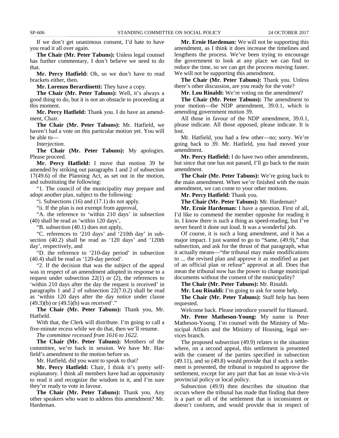If we don't get unanimous consent, I'd hate to have you read it all over again.

**The Chair (Mr. Peter Tabuns):** Unless legal counsel has further commentary, I don't believe we need to do that.

**Mr. Percy Hatfield:** Oh, so we don't have to read brackets either, then.

**Mr. Lorenzo Berardinetti:** They have a copy.

**The Chair (Mr. Peter Tabuns):** Well, it's always a good thing to do, but it is not an obstacle to proceeding at this moment.

**Mr. Percy Hatfield:** Thank you. I do have an amendment, Chair.

**The Chair (Mr. Peter Tabuns):** Mr. Hatfield, we haven't had a vote on this particular motion yet. You will be able to—

*Interjection.*

**The Chair (Mr. Peter Tabuns):** My apologies. Please proceed.

**Mr. Percy Hatfield:** I move that motion 39 be amended by striking out paragraphs 1 and 2 of subsection 17(49.6) of the Planning Act, as set out in the motion, and substituting the following:

"1. The council of the municipality may prepare and adopt another plan, subject to the following:

"i. Subsections (16) and (17.1) do not apply.

"ii. If the plan is not exempt from approval,

"A. the reference to 'within 210 days' in subsection (40) shall be read as 'within 120 days',

"B. subsection (40.1) does not apply,

"C. references to '210 days' and '210th day' in subsection (40.2) shall be read as '120 days' and '120th day', respectively, and

"D. the reference to '210-day period' in subsection (40.4) shall be read as '120-day period'.

"2. If the decision that was the subject of the appeal was in respect of an amendment adopted in response to a request under subsection 22(1) or (2), the references to 'within 210 days after the day the request is received' in paragraphs 1 and 2 of subsection 22(7.0.2) shall be read as 'within 120 days after the day notice under clause (49.3)(b) or (49.5)(b) was received'."

**The Chair (Mr. Peter Tabuns):** Thank you, Mr. Hatfield.

With that, the Clerk will distribute. I'm going to call a five-minute recess while we do that, then we'll resume.

*The committee recessed from 1616 to 1622.*

**The Chair (Mr. Peter Tabuns):** Members of the committee, we're back in session. We have Mr. Hatfield's amendment to the motion before us.

Mr. Hatfield, did you want to speak to that?

**Mr. Percy Hatfield:** Chair, I think it's pretty selfexplanatory. I think all members have had an opportunity to read it and recognize the wisdom in it, and I'm sure they're ready to vote in favour.

**The Chair (Mr. Peter Tabuns):** Thank you. Any other speakers who want to address this amendment? Mr. Hardeman.

**Mr. Ernie Hardeman:** We will not be supporting this amendment, as I think it does increase the timelines and lengthens the process. We've been trying to encourage the government to look at any place we can find to reduce the time, so we can get the process moving faster. We will not be supporting this amendment.

**The Chair (Mr. Peter Tabuns):** Thank you. Unless there's other discussion, are you ready for the vote?

**Mr. Lou Rinaldi:** We're voting on the amendment?

**The Chair (Mr. Peter Tabuns):** The amendment to your motion—the NDP amendment, 39.0.1, which is amending government motion 39.

All those in favour of the NDP amendment, 39.0.1, please indicate. All those opposed, please indicate. It is lost.

Mr. Hatfield, you had a few other—no; sorry. We're going back to 39. Mr. Hatfield, you had moved your amendment.

**Mr. Percy Hatfield:** I do have two other amendments, but since that one has not passed, I'll go back to the main amendment.

**The Chair (Mr. Peter Tabuns):** We're going back to the main amendment. When we're finished with the main amendment, we can come to your other motions.

**Mr. Percy Hatfield:** Thank you.

**The Chair (Mr. Peter Tabuns):** Mr. Hardeman?

**Mr. Ernie Hardeman:** I have a question. First of all, I'd like to commend the member opposite for reading it in. I know there is such a thing as speed-reading, but I've never heard it done out loud. It was a wonderful job.

Of course, it is such a long amendment, and it has a major impact. I just wanted to go to "Same, (49.9)," that subsection, and ask for the thrust of that paragraph, what it actually means—"the tribunal may make modifications to ... the revised plan and approve it as modified as part of an official plan or refuse" approval at all. Does that mean the tribunal now has the power to change municipal documents without the consent of the municipality?

**The Chair (Mr. Peter Tabuns):** Mr. Rinaldi.

**Mr. Lou Rinaldi:** I'm going to ask for some help.

**The Chair (Mr. Peter Tabuns):** Staff help has been requested.

Welcome back. Please introduce yourself for Hansard.

**Mr. Peter Matheson-Young:** My name is Peter Matheson-Young. I'm counsel with the Ministry of Municipal Affairs and the Ministry of Housing, legal services branch.

The proposed subsection (49.9) relates to the situation where, on a second appeal, this settlement is presented with the consent of the parties specified in subsection (49.11), and so (49.8) would provide that if such a settlement is presented, the tribunal is required to approve the settlement, except for any part that has an issue vis-à-vis provincial policy or local policy.

Subsection (49.9) then describes the situation that occurs where the tribunal has made that finding that there is a part or all of the settlement that is inconsistent or doesn't conform, and would provide that in respect of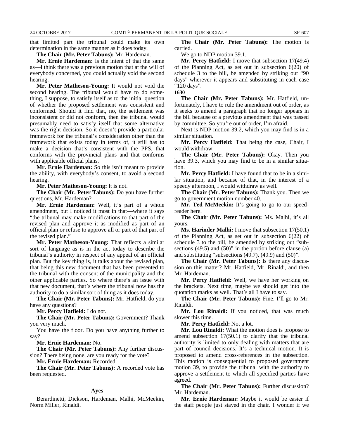that limited part the tribunal could make its own determination in the same manner as it does today.

#### **The Chair (Mr. Peter Tabuns):** Mr. Hardeman.

**Mr. Ernie Hardeman:** Is the intent of that the same as—I think there was a previous motion that at the will of everybody concerned, you could actually void the second hearing.

**Mr. Peter Matheson-Young:** It would not void the second hearing. The tribunal would have to do something, I suppose, to satisfy itself as to the initial question of whether the proposed settlement was consistent and conformed. Should it find that, no, the settlement was inconsistent or did not conform, then the tribunal would presumably need to satisfy itself that some alternative was the right decision. So it doesn't provide a particular framework for the tribunal's consideration other than the framework that exists today in terms of, it still has to make a decision that's consistent with the PPS, that conforms with the provincial plans and that conforms with applicable official plans.

**Mr. Ernie Hardeman:** So this isn't meant to provide the ability, with everybody's consent, to avoid a second hearing.

**Mr. Peter Matheson-Young:** It is not.

**The Chair (Mr. Peter Tabuns):** Do you have further questions, Mr. Hardeman?

**Mr. Ernie Hardeman:** Well, it's part of a whole amendment, but I noticed it most in that—where it says "the tribunal may make modifications to that part of the revised plan and approve it as modified as part of an official plan or refuse to approve all or part of that part of the revised plan."

**Mr. Peter Matheson-Young:** That reflects a similar sort of language as is in the act today to describe the tribunal's authority in respect of any appeal of an official plan. But the key thing is, it talks about the revised plan, that being this new document that has been presented to the tribunal with the consent of the municipality and the other applicable parties. So where there's an issue with that new document, that's where the tribunal now has the authority to do a similar sort of thing as it does today.

**The Chair (Mr. Peter Tabuns):** Mr. Hatfield, do you have any questions?

**Mr. Percy Hatfield:** I do not.

**The Chair (Mr. Peter Tabuns):** Government? Thank you very much.

You have the floor. Do you have anything further to say?

**Mr. Ernie Hardeman:** No.

**The Chair (Mr. Peter Tabuns):** Any further discussion? There being none, are you ready for the vote?

**Mr. Ernie Hardeman:** Recorded.

**The Chair (Mr. Peter Tabuns):** A recorded vote has been requested.

#### **Ayes**

Berardinetti, Dickson, Hardeman, Malhi, McMeekin, Norm Miller, Rinaldi.

**The Chair (Mr. Peter Tabuns):** The motion is carried.

We go to NDP motion 39.1.

**Mr. Percy Hatfield:** I move that subsection 17(49.4) of the Planning Act, as set out in subsection 6(20) of schedule 3 to the bill, be amended by striking out "90 days" wherever it appears and substituting in each case "120 days".

**1630**

**The Chair (Mr. Peter Tabuns):** Mr. Hatfield, unfortunately, I have to rule the amendment out of order, as it seeks to amend a paragraph that no longer appears in the bill because of a previous amendment that was passed by committee. So you're out of order, I'm afraid.

Next is NDP motion 39.2, which you may find is in a similar situation.

**Mr. Percy Hatfield:** That being the case, Chair, I would withdraw.

**The Chair (Mr. Peter Tabuns):** Okay. Then you have 39.3, which you may find to be in a similar situation.

**Mr. Percy Hatfield:** I have found that to be in a similar situation, and because of that, in the interest of a speedy afternoon, I would withdraw as well.

**The Chair (Mr. Peter Tabuns):** Thank you. Then we go to government motion number 40.

**Mr. Ted McMeekin:** It's going to go to our speedreader here.

**The Chair (Mr. Peter Tabuns):** Ms. Malhi, it's all yours.

**Ms. Harinder Malhi:** I move that subsection 17(50.1) of the Planning Act, as set out in subsection 6(22) of schedule 3 to the bill, be amended by striking out "subsections (49.5) and (50)" in the portion before clause (a) and substituting "subsections (49.7), (49.9) and (50)".

**The Chair (Mr. Peter Tabuns):** Is there any discussion on this matter? Mr. Hatfield, Mr. Rinaldi, and then Mr. Hardeman.

**Mr. Percy Hatfield:** Well, we have her working on the brackets. Next time, maybe we should get into the quotation marks as well. That's all I have to say.

**The Chair (Mr. Peter Tabuns):** Fine. I'll go to Mr. Rinaldi.

**Mr. Lou Rinaldi:** If you noticed, that was much slower this time.

**Mr. Percy Hatfield:** Not a lot.

**Mr. Lou Rinaldi:** What the motion does is propose to amend subsection 17(50.1) to clarify that the tribunal authority is limited to only dealing with matters that are part of council decisions. It's a technical motion. It is proposed to amend cross-references in the subsection. This motion is consequential to proposed government motion 39, to provide the tribunal with the authority to approve a settlement to which all specified parties have agreed.

**The Chair (Mr. Peter Tabuns):** Further discussion? Mr. Hardeman.

**Mr. Ernie Hardeman:** Maybe it would be easier if the staff people just stayed in the chair. I wonder if we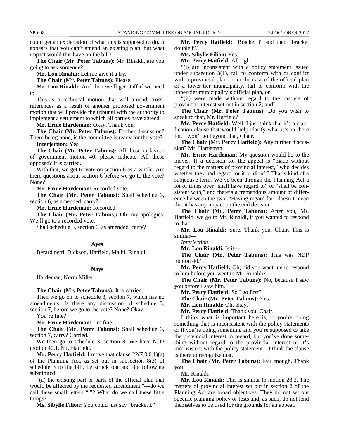could get an explanation of what this is supposed to do. It appears that you can't amend an existing plan, but what impact would this have on the bill?

**The Chair (Mr. Peter Tabuns):** Mr. Rinaldi, are you going to ask someone?

**Mr. Lou Rinaldi:** Let me give it a try.

**The Chair (Mr. Peter Tabuns):** Please.

**Mr. Lou Rinaldi:** And then we'll get staff if we need to.

This is a technical motion that will amend crossreferences as a result of another proposed government motion that will provide the tribunal with the authority to implement a settlement to which all parties have agreed.

**Mr. Ernie Hardeman:** Okay. Thank you.

**The Chair (Mr. Peter Tabuns):** Further discussion? There being none, is the committee is ready for the vote? **Interjection:** Yes.

**The Chair (Mr. Peter Tabuns):** All those in favour of government motion 40, please indicate. All those opposed? It is carried.

With that, we get to vote on section 6 as a whole. Are there questions about section 6 before we go to the vote? None?

**Mr. Ernie Hardeman:** Recorded vote.

**The Chair (Mr. Peter Tabuns):** Shall schedule 3, section 6, as amended, carry?

**Mr. Ernie Hardeman:** Recorded.

**The Chair (Mr. Peter Tabuns):** Oh, my apologies. We'll go to a recorded vote.

Shall schedule 3, section 6, as amended, carry?

#### **Ayes**

Berardinetti, Dickson, Hatfield, Malhi, Rinaldi.

#### **Nays**

Hardeman, Norm Miller.

#### **The Chair (Mr. Peter Tabuns):** It is carried.

Then we go on to schedule 3, section 7, which has no amendments. Is there any discussion of schedule 3, section 7, before we go to the vote? None? Okay.

You're fine?

**Mr. Ernie Hardeman:** I'm fine.

**The Chair (Mr. Peter Tabuns):** Shall schedule 3, section 7, carry? Carried.

We then go to schedule 3, section 8. We have NDP motion 40.1. Mr. Hatfield.

**Mr. Percy Hatfield:** I move that clause  $22(7.0.0.1)(a)$ of the Planning Act, as set out in subsection 8(3) of schedule 3 to the bill, be struck out and the following substituted:

"(a) the existing part or parts of the official plan that would be affected by the requested amendment,"—do we call these small letters "i"? What do we call these little things?

**Ms. Sibylle Filion:** You could just say "bracket i."

**Mr. Percy Hatfield:** "Bracket i" and then "bracket double i"?

**Ms. Sibylle Filion:** Yes.

**Mr. Percy Hatfield:** All right.

"(i) are inconsistent with a policy statement issued under subsection 3(1), fail to conform with or conflict with a provincial plan or, in the case of the official plan of a lower-tier municipality, fail to conform with the upper-tier municipality's official plan, or

"(ii) were made without regard to the matters of provincial interest set out in section 2; and"

**The Chair (Mr. Peter Tabuns):** Do you wish to speak to that, Mr. Hatfield?

**Mr. Percy Hatfield:** Well, I just think that it's a clarification clause that would help clarify what it's in there for. I won't go beyond that, Chair.

**The Chair (Mr. Percy Hatfield):** Any further discussion? Mr. Hardeman.

**Mr. Ernie Hardeman:** My question would be to the mover. If a decision for the appeal is "made without regard to the matters of provincial interest," who decides whether they had regard for it or didn't? That's kind of a subjective term. We've been through the Planning Act a lot of times over "shall have regard to" or "shall be consistent with," and there's a tremendous amount of difference between the two. "Having regard for" doesn't mean that it has any impact on the end decision.

**The Chair (Mr. Peter Tabuns):** After you, Mr. Hatfield, we go to Mr. Rinaldi, if you wanted to respond to that.

**Mr. Lou Rinaldi:** Sure. Thank you, Chair. This is similar—

*Interjection.*

**Mr. Lou Rinaldi:** Is it—

**The Chair (Mr. Peter Tabuns):** This was NDP motion 40.1.

**Mr. Percy Hatfield:** Oh, did you want me to respond to him before you went to Mr. Rinaldi?

**The Chair (Mr. Peter Tabuns):** No, because I saw you before I saw him.

**Mr. Percy Hatfield:** So I go first?

**The Chair (Mr. Peter Tabuns):** Yes.

**Mr. Lou Rinaldi:** Oh, okay.

**Mr. Percy Hatfield:** Thank you, Chair.

I think what is important here is, if you're doing something that is inconsistent with the policy statements or if you're doing something and you're supposed to take the provincial interest in regard, but you've done something without regard to the provincial interest or it's inconsistent with the policy statement—I think the clause is there to recognize that.

**The Chair (Mr. Peter Tabuns):** Fair enough. Thank you.

Mr. Rinaldi.

**Mr. Lou Rinaldi:** This is similar to motion 28.2. The matters of provincial interest set out in section 2 of the Planning Act are broad objectives. They do not set out specific planning policy or tests and, as such, do not lend themselves to be used for the grounds for an appeal.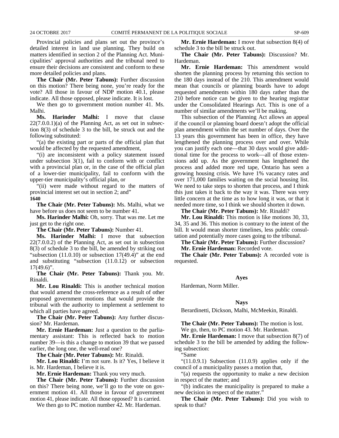Provincial policies and plans set out the province's detailed interest in land use planning. They build on matters identified in section 2 of the Planning Act. Municipalities' approval authorities and the tribunal need to ensure their decisions are consistent and conform to these more detailed policies and plans.

**The Chair (Mr. Peter Tabuns):** Further discussion on this motion? There being none, you're ready for the vote? All those in favour of NDP motion 40.1, please indicate. All those opposed, please indicate. It is lost.

We then go to government motion number 41. Ms. Malhi.<br>Ms.

**Ms. Harinder Malhi:** I move that clause  $22(7.0.0.1)$ (a) of the Planning Act, as set out in subsection 8(3) of schedule 3 to the bill, be struck out and the following substituted:

"(a) the existing part or parts of the official plan that would be affected by the requested amendment,

"(i) are inconsistent with a policy statement issued under subsection 3(1), fail to conform with or conflict with a provincial plan or, in the case of the official plan of a lower-tier municipality, fail to conform with the upper-tier municipality's official plan, or

"(ii) were made without regard to the matters of provincial interest set out in section 2; and" **1640**

**The Chair (Mr. Peter Tabuns):** Ms. Malhi, what we have before us does not seem to be number 41.

**Ms. Harinder Malhi:** Oh, sorry. That was me. Let me just get to the right one.

**The Chair (Mr. Peter Tabuns):** Number 41.

**Ms. Harinder Malhi:** I move that subsection 22(7.0.0.2) of the Planning Act, as set out in subsection 8(3) of schedule 3 to the bill, be amended by striking out "subsection  $(11.0.10)$  or subsection  $17(49.4)$ " at the end and substituting "subsection (11.0.12) or subsection  $17(49.6)$ ".

**The Chair (Mr. Peter Tabuns):** Thank you. Mr. Rinaldi.

**Mr. Lou Rinaldi:** This is another technical motion that would amend the cross-reference as a result of other proposed government motions that would provide the tribunal with the authority to implement a settlement to which all parties have agreed.

**The Chair (Mr. Peter Tabuns):** Any further discussion? Mr. Hardeman.

**Mr. Ernie Hardeman:** Just a question to the parliamentary assistant: This is reflected back to motion number 39—is this a change to motion 39 that we passed earlier, the long one, the well-read one?

**The Chair (Mr. Peter Tabuns):** Mr. Rinaldi.

**Mr. Lou Rinaldi:** I'm not sure. Is it? Yes, I believe it is. Mr. Hardeman, I believe it is.

**Mr. Ernie Hardeman:** Thank you very much.

**The Chair (Mr. Peter Tabuns):** Further discussion on this? There being none, we'll go to the vote on government motion 41. All those in favour of government motion 41, please indicate. All those opposed? It is carried.

We then go to PC motion number 42. Mr. Hardeman.

**Mr. Ernie Hardeman:** I move that subsection 8(4) of schedule 3 to the bill be struck out.

**The Chair (Mr. Peter Tabuns):** Discussion? Mr. Hardeman.

**Mr. Ernie Hardeman:** This amendment would shorten the planning process by returning this section to the 180 days instead of the 210. This amendment would mean that councils or planning boards have to adopt requested amendments within 180 days rather than the 210 before notice can be given to the hearing registrar under the Consolidated Hearings Act. This is one of a number of similar amendments we'll be making.

This subsection of the Planning Act allows an appeal if the council or planning board doesn't adopt the official plan amendment within the set number of days. Over the 13 years this government has been in office, they have lengthened the planning process over and over. While you can justify each one—that 30 days would give additional time for the process to work—all of those extensions add up. As the government has lengthened the process and added more red tape, Ontario has seen a growing housing crisis. We have 1% vacancy rates and over 171,000 families waiting on the social housing list. We need to take steps to shorten that process, and I think this just takes it back to the way it was. There was very little concern at the time as to how long it was, or that it needed more time, so I think we should shorten it down.

**The Chair (Mr. Peter Tabuns):** Mr. Rinaldi?

**Mr. Lou Rinaldi:** This motion is like motions 30, 33, 34, 35 and 36. This motion is contrary to the intent of the bill. It would mean shorter timelines, less public consultation and potentially more cases going to the tribunal.

**The Chair (Mr. Peter Tabuns):** Further discussion?

**Mr. Ernie Hardeman:** Recorded vote.

**The Chair (Mr. Peter Tabuns):** A recorded vote is requested.

#### **Ayes**

Hardeman, Norm Miller.

#### **Nays**

Berardinetti, Dickson, Malhi, McMeekin, Rinaldi.

**The Chair (Mr. Peter Tabuns):** The motion is lost. We go, then, to PC motion 43. Mr. Hardeman.

**Mr. Ernie Hardeman:** I move that subsection 8(7) of schedule 3 to the bill be amended by adding the following subsection:

"Same

" $(11.0.9.1)$  Subsection  $(11.0.9)$  applies only if the council of a municipality passes a motion that,

"(a) requests the opportunity to make a new decision in respect of the matter; and

"(b) indicates the municipality is prepared to make a new decision in respect of the matter."

**The Chair (Mr. Peter Tabuns):** Did you wish to speak to that?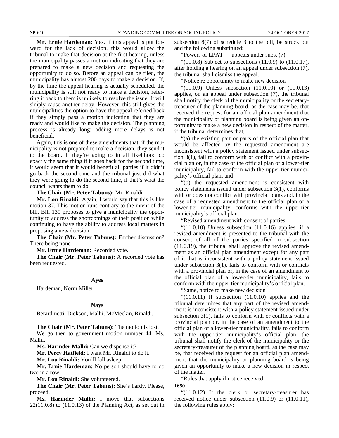**Mr. Ernie Hardeman:** Yes. If this appeal is put forward for the lack of decision, this would allow the tribunal to make that decision at the first hearing, unless the municipality passes a motion indicating that they are prepared to make a new decision and requesting the opportunity to do so. Before an appeal can be filed, the municipality has almost 200 days to make a decision. If, by the time the appeal hearing is actually scheduled, the municipality is still not ready to make a decision, referring it back to them is unlikely to resolve the issue. It will simply cause another delay. However, this still gives the municipalities the option to have the appeal referred back if they simply pass a motion indicating that they are ready and would like to make the decision. The planning process is already long; adding more delays is not beneficial.

Again, this is one of these amendments that, if the municipality is not prepared to make a decision, they send it to the board. If they're going to in all likelihood do exactly the same thing if it goes back for the second time, it would seem that it would benefit all parties if it didn't go back the second time and the tribunal just did what they were going to do the second time, if that's what the council wants them to do.

**The Chair (Mr. Peter Tabuns):** Mr. Rinaldi.

**Mr. Lou Rinaldi:** Again, I would say that this is like motion 37. This motion runs contrary to the intent of the bill. Bill 139 proposes to give a municipality the opportunity to address the shortcomings of their position while continuing to have the ability to address local matters in proposing a new decision.

**The Chair (Mr. Peter Tabuns):** Further discussion? There being none—

**Mr. Ernie Hardeman:** Recorded vote.

**The Chair (Mr. Peter Tabuns):** A recorded vote has been requested.

#### **Ayes**

Hardeman, Norm Miller.

#### **Nays**

Berardinetti, Dickson, Malhi, McMeekin, Rinaldi.

**The Chair (Mr. Peter Tabuns):** The motion is lost.

We go then to government motion number 44. Ms. Malhi.

**Ms. Harinder Malhi:** Can we dispense it?

**Mr. Percy Hatfield:** I want Mr. Rinaldi to do it.

**Mr. Lou Rinaldi:** You'll fall asleep.

**Mr. Ernie Hardeman:** No person should have to do two in a row.

**Mr. Lou Rinaldi:** She volunteered.

**The Chair (Mr. Peter Tabuns):** She's hardy. Please, proceed.

**Ms. Harinder Malhi:** I move that subsections  $22(11.0.8)$  to  $(11.0.13)$  of the Planning Act, as set out in subsection 8(7) of schedule 3 to the bill, be struck out and the following substituted:

"Powers of LPAT — appeals under subs. (7)

"(11.0.8) Subject to subsections  $(11.0.9)$  to  $(11.0.17)$ , after holding a hearing on an appeal under subsection (7), the tribunal shall dismiss the appeal.

"Notice re opportunity to make new decision

" $(11.0.9)$  Unless subsection  $(11.0.10)$  or  $(11.0.13)$ applies, on an appeal under subsection (7), the tribunal shall notify the clerk of the municipality or the secretarytreasurer of the planning board, as the case may be, that received the request for an official plan amendment that the municipality or planning board is being given an opportunity to make a new decision in respect of the matter, if the tribunal determines that,

"(a) the existing part or parts of the official plan that would be affected by the requested amendment are inconsistent with a policy statement issued under subsection 3(1), fail to conform with or conflict with a provincial plan or, in the case of the official plan of a lower-tier municipality, fail to conform with the upper-tier municipality's official plan; and

"(b) the requested amendment is consistent with policy statements issued under subsection 3(1), conforms with or does not conflict with provincial plans and, in the case of a requested amendment to the official plan of a lower-tier municipality, conforms with the upper-tier municipality's official plan.

"Revised amendment with consent of parties

 $(11.0.10)$  Unless subsection  $(11.0.16)$  applies, if a revised amendment is presented to the tribunal with the consent of all of the parties specified in subsection (11.0.19), the tribunal shall approve the revised amendment as an official plan amendment except for any part of it that is inconsistent with a policy statement issued under subsection 3(1), fails to conform with or conflicts with a provincial plan or, in the case of an amendment to the official plan of a lower-tier municipality, fails to conform with the upper-tier municipality's official plan.

"Same, notice to make new decision

" $(11.0.11)$  If subsection  $(11.0.10)$  applies and the tribunal determines that any part of the revised amendment is inconsistent with a policy statement issued under subsection 3(1), fails to conform with or conflicts with a provincial plan or, in the case of an amendment to the official plan of a lower-tier municipality, fails to conform with the upper-tier municipality's official plan, the tribunal shall notify the clerk of the municipality or the secretary-treasurer of the planning board, as the case may be, that received the request for an official plan amendment that the municipality or planning board is being given an opportunity to make a new decision in respect of the matter.

"Rules that apply if notice received

#### **1650**

"(11.0.12) If the clerk or secretary-treasurer has received notice under subsection (11.0.9) or (11.0.11), the following rules apply: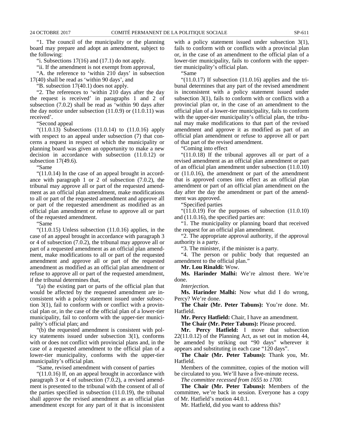"1. The council of the municipality or the planning board may prepare and adopt an amendment, subject to the following:

"i. Subsections  $17(16)$  and  $(17.1)$  do not apply.

"ii. If the amendment is not exempt from approval,

"A. the reference to 'within 210 days' in subsection 17(40) shall be read as 'within 90 days', and

"B. subsection 17(40.1) does not apply.

"2. The references to 'within 210 days after the day the request is received' in paragraphs 1 and 2 of subsection (7.0.2) shall be read as 'within 90 days after the day notice under subsection  $(11.0.9)$  or  $(11.0.11)$  was received'.

"Second appeal

 $(11.0.13)$  Subsections  $(11.0.14)$  to  $(11.0.16)$  apply with respect to an appeal under subsection  $(7)$  that concerns a request in respect of which the municipality or planning board was given an opportunity to make a new decision in accordance with subsection (11.0.12) or subsection 17(49.6).

"Same

"(11.0.14) In the case of an appeal brought in accordance with paragraph 1 or 2 of subsection (7.0.2), the tribunal may approve all or part of the requested amendment as an official plan amendment, make modifications to all or part of the requested amendment and approve all or part of the requested amendment as modified as an official plan amendment or refuse to approve all or part of the requested amendment.

"Same

" $(11.0.15)$  Unless subsection  $(11.0.16)$  applies, in the case of an appeal brought in accordance with paragraph 3 or 4 of subsection (7.0.2), the tribunal may approve all or part of a requested amendment as an official plan amendment, make modifications to all or part of the requested amendment and approve all or part of the requested amendment as modified as an official plan amendment or refuse to approve all or part of the requested amendment, if the tribunal determines that,

"(a) the existing part or parts of the official plan that would be affected by the requested amendment are inconsistent with a policy statement issued under subsection 3(1), fail to conform with or conflict with a provincial plan or, in the case of the official plan of a lower-tier municipality, fail to conform with the upper-tier municipality's official plan; and

"(b) the requested amendment is consistent with policy statements issued under subsection 3(1), conforms with or does not conflict with provincial plans and, in the case of a requested amendment to the official plan of a lower-tier municipality, conforms with the upper-tier municipality's official plan.

"Same, revised amendment with consent of parties

"(11.0.16) If, on an appeal brought in accordance with paragraph 3 or 4 of subsection (7.0.2), a revised amendment is presented to the tribunal with the consent of all of the parties specified in subsection (11.0.19), the tribunal shall approve the revised amendment as an official plan amendment except for any part of it that is inconsistent

with a policy statement issued under subsection 3(1), fails to conform with or conflicts with a provincial plan or, in the case of an amendment to the official plan of a lower-tier municipality, fails to conform with the uppertier municipality's official plan.

"Same

" $(11.0.17)$  If subsection  $(11.0.16)$  applies and the tribunal determines that any part of the revised amendment is inconsistent with a policy statement issued under subsection 3(1), fails to conform with or conflicts with a provincial plan or, in the case of an amendment to the official plan of a lower-tier municipality, fails to conform with the upper-tier municipality's official plan, the tribunal may make modifications to that part of the revised amendment and approve it as modified as part of an official plan amendment or refuse to approve all or part of that part of the revised amendment.

"Coming into effect

"(11.0.18) If the tribunal approves all or part of a revised amendment as an official plan amendment or part of an official plan amendment under subsection (11.0.10) or (11.0.16), the amendment or part of the amendment that is approved comes into effect as an official plan amendment or part of an official plan amendment on the day after the day the amendment or part of the amendment was approved.

"Specified parties

" $(11.0.19)$  For the purposes of subsection  $(11.0.10)$ and (11.0.16), the specified parties are:

"1. The municipality or planning board that received the request for an official plan amendment.

"2. The appropriate approval authority, if the approval authority is a party.

"3. The minister, if the minister is a party.

"4. The person or public body that requested an amendment to the official plan."

**Mr. Lou Rinaldi:** Wow.

**Ms. Harinder Malhi:** We're almost there. We're done.

*Interjection.*

**Ms. Harinder Malhi:** Now what did I do wrong, Percy? We're done.

**The Chair (Mr. Peter Tabuns):** You're done. Mr. Hatfield.

**Mr. Percy Hatfield:** Chair, I have an amendment.

**The Chair (Mr. Peter Tabuns):** Please proceed.

**Mr. Percy Hatfield:** I move that subsection 22(11.0.12) of the Planning Act, as set out in motion 44, be amended by striking out "90 days" wherever it appears and substituting in each case "120 days".

**The Chair (Mr. Peter Tabuns):** Thank you, Mr. Hatfield.

Members of the committee, copies of the motion will be circulated to you. We'll have a five-minute recess.

*The committee recessed from 1655 to 1700.*

**The Chair (Mr. Peter Tabuns):** Members of the committee, we're back in session. Everyone has a copy of Mr. Hatfield's motion 44.0.1.

Mr. Hatfield, did you want to address this?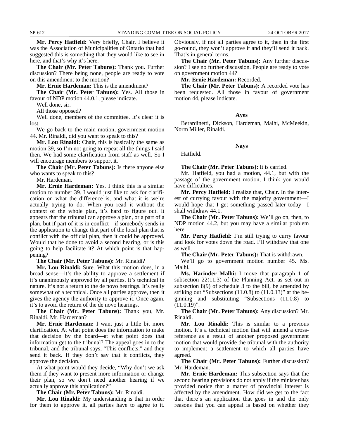**Mr. Percy Hatfield:** Very briefly, Chair. I believe it was the Association of Municipalities of Ontario that had suggested this is something that they would like to see in here, and that's why it's here.

**The Chair (Mr. Peter Tabuns):** Thank you. Further discussion? There being none, people are ready to vote on this amendment to the motion?

**Mr. Ernie Hardeman:** This is the amendment?

**The Chair (Mr. Peter Tabuns):** Yes. All those in favour of NDP motion 44.0.1, please indicate.

Well done, sir.

All those opposed?

Well done, members of the committee. It's clear it is lost.

We go back to the main motion, government motion 44. Mr. Rinaldi, did you want to speak to this?

**Mr. Lou Rinaldi:** Chair, this is basically the same as motion 39, so I'm not going to repeat all the things I said then. We had some clarification from staff as well. So I will encourage members to support it.

**The Chair (Mr. Peter Tabuns):** Is there anyone else who wants to speak to this?

Mr. Hardeman.

**Mr. Ernie Hardeman:** Yes. I think this is a similar motion to number 39. I would just like to ask for clarification on what the difference is, and what it is we're actually trying to do. When you read it without the context of the whole plan, it's hard to figure out. It appears that the tribunal can approve a plan, or a part of a plan, but if part of it is in conflict—if somebody sends in the application to change that part of the local plan that is conflict with the official plan, then it could be approved. Would that be done to avoid a second hearing, or is this going to help facilitate it? At which point is that happening?

**The Chair (Mr. Peter Tabuns):** Mr. Rinaldi?

**Mr. Lou Rinaldi:** Sure. What this motion does, in a broad sense—it's the ability to approve a settlement if it's unanimously approved by all parties. It's technical in nature. It's not a return to the de novo hearings. It's really somewhat of a technical. Once all parties approve, then it gives the agency the authority to approve it. Once again, it's to avoid the return of the de novo hearings.

**The Chair (Mr. Peter Tabuns):** Thank you, Mr. Rinaldi. Mr. Hardeman?

**Mr. Ernie Hardeman:** I want just a little bit more clarification. At what point does the information to make that decision by the board—at what point does that information get to the tribunal? The appeal goes in to the tribunal, and the tribunal says, "This conflicts," and they send it back. If they don't say that it conflicts, they approve the decision.

At what point would they decide, "Why don't we ask them if they want to present more information or change their plan, so we don't need another hearing if we actually approve this application?"

**The Chair (Mr. Peter Tabuns):** Mr. Rinaldi.

**Mr. Lou Rinaldi:** My understanding is that in order for them to approve it, all parties have to agree to it. Obviously, if not all parties agree to it, then in the first go-round, they won't approve it and they'll send it back. That's in general terms.

**The Chair (Mr. Peter Tabuns):** Any further discussion? I see no further discussion. People are ready to vote on government motion 44?

**Mr. Ernie Hardeman:** Recorded.

**The Chair (Mr. Peter Tabuns):** A recorded vote has been requested. All those in favour of government motion 44, please indicate.

#### **Ayes**

Berardinetti, Dickson, Hardeman, Malhi, McMeekin, Norm Miller, Rinaldi.

**Nays**

Hatfield.

**The Chair (Mr. Peter Tabuns):** It is carried.

Mr. Hatfield, you had a motion, 44.1, but with the passage of the government motion, I think you would have difficulties.

**Mr. Percy Hatfield:** I realize that, Chair. In the interest of currying favour with the majority government—I would hope that I get something passed later today—I shall withdraw 44.1.

**The Chair (Mr. Peter Tabuns):** We'll go on, then, to NDP motion 44.2, but you may have a similar problem here.

**Mr. Percy Hatfield:** I'm still trying to curry favour and look for votes down the road. I'll withdraw that one as well.

**The Chair (Mr. Peter Tabuns):** That is withdrawn.

We'll go to government motion number 45. Ms. Malhi.

**Ms. Harinder Malhi:** I move that paragraph 1 of subsection 22(11.3) of the Planning Act, as set out in subsection 8(9) of schedule 3 to the bill, be amended by striking out "Subsections (11.0.8) to (11.0.13)" at the beginning and substituting "Subsections (11.0.8) to  $(11.0.19)$ ".

**The Chair (Mr. Peter Tabuns):** Any discussion? Mr. Rinaldi.

**Mr. Lou Rinaldi:** This is similar to a previous motion. It's a technical motion that will amend a crossreference as a result of another proposed government motion that would provide the tribunal with the authority to implement a settlement to which all parties have agreed.

**The Chair (Mr. Peter Tabuns):** Further discussion? Mr. Hardeman.

**Mr. Ernie Hardeman:** This subsection says that the second hearing provisions do not apply if the minister has provided notice that a matter of provincial interest is affected by the amendment. How did we get to the fact that there's an application that goes in and the only reasons that you can appeal is based on whether they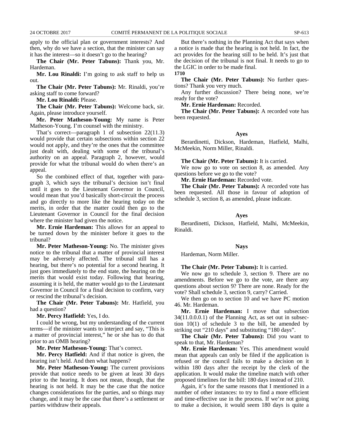apply to the official plan or government interests? And then, why do we have a section, that the minister can say it has the interest—so it doesn't go to the hearing?

**The Chair (Mr. Peter Tabuns):** Thank you, Mr. Hardeman.

**Mr. Lou Rinaldi:** I'm going to ask staff to help us out.

**The Chair (Mr. Peter Tabuns):** Mr. Rinaldi, you're asking staff to come forward?

**Mr. Lou Rinaldi:** Please.

**The Chair (Mr. Peter Tabuns):** Welcome back, sir. Again, please introduce yourself.

**Mr. Peter Matheson-Young:** My name is Peter Matheson-Young. I'm counsel with the ministry.

That's correct—paragraph 1 of subsection 22(11.3) would provide that certain subsections within section 22 would not apply, and they're the ones that the committee just dealt with, dealing with some of the tribunal's authority on an appeal. Paragraph 2, however, would provide for what the tribunal would do when there's an appeal.

So the combined effect of that, together with paragraph 3, which says the tribunal's decision isn't final until it goes to the Lieutenant Governor in Council, would mean that you'd basically short-circuit the process and go directly to more like the hearing today on the merits, in order that the matter could then go to the Lieutenant Governor in Council for the final decision where the minister had given the notice.

**Mr. Ernie Hardeman:** This allows for an appeal to be turned down by the minister before it goes to the tribunal?

**Mr. Peter Matheson-Young:** No. The minister gives notice to the tribunal that a matter of provincial interest may be adversely affected. The tribunal still has a hearing, but there's no potential for a second hearing. It just goes immediately to the end state, the hearing on the merits that would exist today. Following that hearing, assuming it is held, the matter would go to the Lieutenant Governor in Council for a final decision to confirm, vary or rescind the tribunal's decision.

**The Chair (Mr. Peter Tabuns):** Mr. Hatfield, you had a question?

**Mr. Percy Hatfield:** Yes, I do.

I could be wrong, but my understanding of the current terms—if the minister wants to interject and say, "This is a matter of provincial interest," he or she has to do that prior to an OMB hearing?

**Mr. Peter Matheson-Young:** That's correct.

**Mr. Percy Hatfield:** And if that notice is given, the hearing isn't held. And then what happens?

**Mr. Peter Matheson-Young:** The current provisions provide that notice needs to be given at least 30 days prior to the hearing. It does not mean, though, that the hearing is not held. It may be the case that the notice changes considerations for the parties, and so things may change, and it may be the case that there's a settlement or parties withdraw their appeals.

But there's nothing in the Planning Act that says when a notice is made that the hearing is not held. In fact, the act provides for the hearing still to be held. It's just that the decision of the tribunal is not final. It needs to go to the LGIC in order to be made final. **1710**

**The Chair (Mr. Peter Tabuns):** No further questions? Thank you very much.

Any further discussion? There being none, we're ready for the vote?

**Mr. Ernie Hardeman:** Recorded.

**The Chair (Mr. Peter Tabuns):** A recorded vote has been requested.

#### **Ayes**

Berardinetti, Dickson, Hardeman, Hatfield, Malhi, McMeekin, Norm Miller, Rinaldi.

#### **The Chair (Mr. Peter Tabuns):** It is carried.

We now go to vote on section 8, as amended. Any questions before we go to the vote?

#### **Mr. Ernie Hardeman:** Recorded vote.

**The Chair (Mr. Peter Tabuns):** A recorded vote has been requested. All those in favour of adoption of schedule 3, section 8, as amended, please indicate.

#### **Ayes**

Berardinetti, Dickson, Hatfield, Malhi, McMeekin, Rinaldi.

#### **Nays**

Hardeman, Norm Miller.

#### **The Chair (Mr. Peter Tabuns):** It is carried.

We now go to schedule 3, section 9. There are no amendments. Before we go to the vote, are there any questions about section 9? There are none. Ready for the vote? Shall schedule 3, section 9, carry? Carried.

We then go on to section 10 and we have PC motion 46. Mr. Hardeman.

**Mr. Ernie Hardeman:** I move that subsection 34(11.0.0.0.1) of the Planning Act, as set out in subsection 10(1) of schedule 3 to the bill, be amended by striking out "210 days" and substituting "180 days".

**The Chair (Mr. Peter Tabuns):** Did you want to speak to that, Mr. Hardeman?

**Mr. Ernie Hardeman:** Yes. This amendment would mean that appeals can only be filed if the application is refused or the council fails to make a decision on it within 180 days after the receipt by the clerk of the application. It would make the timeline match with other proposed timelines for the bill: 180 days instead of 210.

Again, it's for the same reasons that I mentioned in a number of other instances: to try to find a more efficient and time-effective use in the process. If we're not going to make a decision, it would seem 180 days is quite a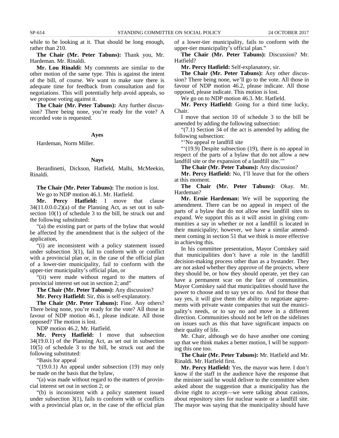while to be looking at it. That should be long enough, rather than 210.

**The Chair (Mr. Peter Tabuns):** Thank you, Mr. Hardeman. Mr. Rinaldi.

**Mr. Lou Rinaldi:** My comments are similar to the other motion of the same type. This is against the intent of the bill, of course. We want to make sure there is adequate time for feedback from consultation and for negotiations. This will potentially help avoid appeals, so we propose voting against it.

**The Chair (Mr. Peter Tabuns):** Any further discussion? There being none, you're ready for the vote? A recorded vote is requested.

#### **Ayes**

Hardeman, Norm Miller.

#### **Nays**

Berardinetti, Dickson, Hatfield, Malhi, McMeekin, Rinaldi.

**The Chair (Mr. Peter Tabuns):** The motion is lost. We go to NDP motion 46.1. Mr. Hatfield.

**Mr. Percy Hatfield:** I move that clause  $34(11.0.0.0.2)$ (a) of the Planning Act, as set out in subsection 10(1) of schedule 3 to the bill, be struck out and the following substituted:

"(a) the existing part or parts of the bylaw that would be affected by the amendment that is the subject of the application,

"(i) are inconsistent with a policy statement issued under subsection 3(1), fail to conform with or conflict with a provincial plan or, in the case of the official plan of a lower-tier municipality, fail to conform with the upper-tier municipality's official plan, or

"(ii) were made without regard to the matters of provincial interest set out in section 2; and"

**The Chair (Mr. Peter Tabuns):** Any discussion?

**Mr. Percy Hatfield:** Sir, this is self-explanatory.

**The Chair (Mr. Peter Tabuns):** Fine. Any others? There being none, you're ready for the vote? All those in favour of NDP motion 46.1, please indicate. All those opposed? The motion is lost.

NDP motion 46.2, Mr. Hatfield.

**Mr. Percy Hatfield:** I move that subsection 34(19.0.1) of the Planning Act, as set out in subsection 10(5) of schedule 3 to the bill, be struck out and the following substituted:

"Basis for appeal

"(19.0.1) An appeal under subsection (19) may only be made on the basis that the bylaw,

"(a) was made without regard to the matters of provincial interest set out in section 2; or

"(b) is inconsistent with a policy statement issued under subsection 3(1), fails to conform with or conflicts with a provincial plan or, in the case of the official plan of a lower-tier municipality, fails to conform with the upper-tier municipality's official plan."

**The Chair (Mr. Peter Tabuns):** Discussion? Mr. Hatfield?

**Mr. Percy Hatfield:** Self-explanatory, sir.

**The Chair (Mr. Peter Tabuns):** Any other discussion? There being none, we'll go to the vote. All those in favour of NDP motion 46.2, please indicate. All those opposed, please indicate. This motion is lost.

We go on to NDP motion 46.3. Mr. Hatfield.

**Mr. Percy Hatfield:** Going for a third time lucky, Chair.

I move that section 10 of schedule 3 to the bill be amended by adding the following subsection:

"(7.1) Section 34 of the act is amended by adding the following subsection:

"'No appeal re landfill site

 $\sqrt{(19.9)}$  Despite subsection (19), there is no appeal in respect of the parts of a bylaw that do not allow a new landfill site or the expansion of a landfill site.""

**The Chair (Mr. Peter Tabuns):** Any discussion?

**Mr. Percy Hatfield:** No, I'll leave that for the others at this moment.

**The Chair (Mr. Peter Tabuns):** Okay. Mr. Hardeman?

**Mr. Ernie Hardeman:** We will be supporting the amendment. There can be no appeal in respect of the parts of a bylaw that do not allow new landfill sites to expand. We support this as it will assist in giving communities a say in whether or not a landfill is located in their municipality; however, we have a similar amendment coming in section 51 that we think is more effective in achieving this.

In his committee presentation, Mayor Comiskey said that municipalities don't have a role in the landfill decision-making process other than as a bystander. They are not asked whether they approve of the projects, where they should be, or how they should operate, yet they can have a permanent scar on the face of communities. Mayor Comiskey said that municipalities should have the power to choose and to say yes or no. And for those that say yes, it will give them the ability to negotiate agreements with private waste companies that suit the municipality's needs, or to say no and move in a different direction. Communities should not be left on the sidelines on issues such as this that have significant impacts on their quality of life.

Mr. Chair, although we do have another one coming up that we think makes a better motion, I will be supporting this one too.

**The Chair (Mr. Peter Tabuns):** Mr. Hatfield and Mr. Rinaldi. Mr. Hatfield first.

**Mr. Percy Hatfield:** Yes, the mayor was here. I don't know if the staff in the audience have the response that the minister said he would deliver to the committee when asked about the suggestion that a municipality has the divine right to accept—we were talking about casinos, about repository sites for nuclear waste or a landfill site. The mayor was saying that the municipality should have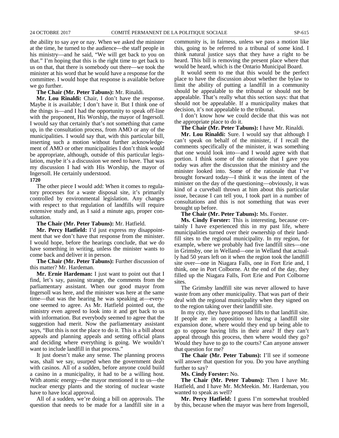the ability to say aye or nay. When we asked the minister at the time, he turned to the audience—the staff people in his ministry—and he said, "We will get back to you on that." I'm hoping that this is the right time to get back to us on that, that there is somebody out there—we took the minister at his word that he would have a response for the committee. I would hope that response is available before we go further.

#### **The Chair (Mr. Peter Tabuns):** Mr. Rinaldi.

**Mr. Lou Rinaldi:** Chair, I don't have the response. Maybe it is available; I don't have it. But I think one of the things is—and I had the opportunity to speak off-line with the proponent, His Worship, the mayor of Ingersoll. I would say that certainly that's not something that came up, in the consultation process, from AMO or any of the municipalities. I would say that, with this particular bill, inserting such a motion without further acknowledgement of AMO or other municipalities I don't think would be appropriate, although, outside of this particular legislation, maybe it's a discussion we need to have. That was my discussion I had with His Worship, the mayor of Ingersoll. He certainly understood.

#### **1720**

The other piece I would add: When it comes to regulatory processes for a waste disposal site, it's primarily controlled by environmental legislation. Any changes with respect to that regulation of landfills will require extensive study and, as I said a minute ago, proper consultation.

**The Chair (Mr. Peter Tabuns):** Mr. Hatfield.

**Mr. Percy Hatfield:** I'd just express my disappointment that we don't have that response from the minister. I would hope, before the hearings conclude, that we do have something in writing, unless the minister wants to come back and deliver it in person.

**The Chair (Mr. Peter Tabuns):** Further discussion of this matter? Mr. Hardeman.

**Mr. Ernie Hardeman:** I just want to point out that I find, let's say, passing strange, the comments from the parliamentary assistant. When our good mayor from Ingersoll was here, and the minister was here at the same time—that was the hearing he was speaking at—everyone seemed to agree. As Mr. Hatfield pointed out, the ministry even agreed to look into it and get back to us with information. But everybody seemed to agree that the suggestion had merit. Now the parliamentary assistant says, "But this is not the place to do it. This is a bill about appeals and planning appeals and setting official plans and deciding where everything is going. We wouldn't want to include landfill in that process."

It just doesn't make any sense. The planning process was, shall we say, usurped when the government dealt with casinos. All of a sudden, before anyone could build a casino in a municipality, it had to be a willing host. With atomic energy—the mayor mentioned it to us—the nuclear energy plants and the storing of nuclear waste have to have local approval.

All of a sudden, we're doing a bill on approvals. The question that needs to be made for a landfill site in a community is, in fairness, unless we pass a motion like this, going to be referred to a tribunal of some kind. I think natural justice says that they have a right to be heard. This bill is removing the present place where that would be heard, which is the Ontario Municipal Board.

It would seem to me that this would be the perfect place to have the discussion about whether the bylaw to limit the ability of putting a landfill in a community should be appealable to the tribunal or should not be appealable. That's really what this section says: that that should not be appealable. If a municipality makes that decision, it's not appealable to the tribunal.

I don't know how we could decide that this was not the appropriate place to do it.

#### **The Chair (Mr. Peter Tabuns):** I have Mr. Rinaldi.

**Mr. Lou Rinaldi:** Sure. I would say that although I can't speak on behalf of the minister, if I recall the comments specifically of the minister, it was something that one would look into—and I would agree with that portion. I think some of the rationale that I gave you today was after the discussion that the ministry and the minister looked into. Some of the rationale that I've brought forward today—I think it was the intent of the minister on the day of the questioning—obviously, it was kind of a curveball thrown at him about this particular issue, because I can tell you, I took part in a number of consultations and this is not something that was ever brought up before.

**The Chair (Mr. Peter Tabuns):** Ms. Forster.

**Ms. Cindy Forster:** This is interesting, because certainly I have experienced this in my past life, where municipalities turned over their ownership of their landfill sites to the regional municipality. In my region, for example, where we probably had five landfill sites—one in Grimsby, one in Welland—one in Welland that actually had 50 years left on it when the region took the landfill site over—one in Niagara Falls, one in Fort Erie and, I think, one in Port Colborne. At the end of the day, they filled up the Niagara Falls, Fort Erie and Port Colborne sites.

The Grimsby landfill site was never allowed to have waste from any other municipality. That was part of their deal with the regional municipality when they signed on to the region taking over their landfill site.

In my city, they have proposed lifts to that landfill site. If people are in opposition to having a landfill site expansion done, where would they end up being able to go to oppose having lifts in their area? If they can't appeal through this process, then where would they go? Would they have to go to the courts? Can anyone answer that question for me?

**The Chair (Mr. Peter Tabuns):** I'll see if someone will answer that question for you. Do you have anything further to say?

**Ms. Cindy Forster:** No.

**The Chair (Mr. Peter Tabuns):** Then I have Mr. Hatfield, and I have Mr. McMeekin. Mr. Hardeman, you wanted to speak as well?

**Mr. Percy Hatfield:** I guess I'm somewhat troubled by this, because when the mayor was here from Ingersoll,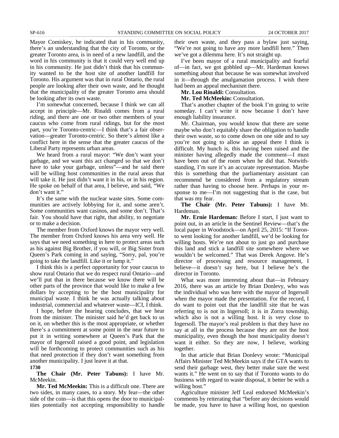Mayor Comiskey, he indicated that in his community, there's an understanding that the city of Toronto, or the greater Toronto area, is in need of a new landfill, and the word in his community is that it could very well end up in his community. He just didn't think that his community wanted to be the host site of another landfill for Toronto. His argument was that in rural Ontario, the rural people are looking after their own waste, and he thought that the municipality of the greater Toronto area should be looking after its own waste.

I'm somewhat concerned, because I think we can all accept in principle—Mr. Rinaldi comes from a rural riding, and there are one or two other members of your caucus who come from rural ridings, but for the most part, you're Toronto-centric—I think that's a fair observation—greater Toronto-centric. So there's almost like a conflict here in the sense that the greater caucus of the Liberal Party represents urban areas.

We heard from a rural mayor: "We don't want your garbage, and we want this act changed so that we don't have to take your garbage, unless"—and he said there will be willing host communities in the rural areas that will take it. He just didn't want it in his, or in his region. He spoke on behalf of that area, I believe, and said, "We don't want it."

It's the same with the nuclear waste sites. Some communities are actively lobbying for it, and some aren't. Some communities want casinos, and some don't. That's fair. You should have that right, that ability, to negotiate or to make a decision.

The member from Oxford knows the mayor very well. The member from Oxford knows his area very well. He says that we need something in here to protect areas such as his against Big Brother, if you will, or Big Sister from Queen's Park coming in and saying, "Sorry, pal, you're going to take the landfill. Like it or lump it."

I think this is a perfect opportunity for your caucus to show rural Ontario that we do respect rural Ontario—and we'll put that in there because we know there will be other parts of the province that would like to make a few dollars by accepting to be the host municipality for municipal waste. I think he was actually talking about industrial, commercial and whatever waste—ICI, I think.

I hope, before the hearing concludes, that we hear from the minister. The minister said he'd get back to us on it, on whether this is the most appropriate, or whether there's a commitment at some point in the near future to put it in writing somewhere at Queen's Park that the mayor of Ingersoll raised a good point, and legislation will be forthcoming to protect communities such as his that need protection if they don't want something from another municipality. I just leave it at that.

#### **1730**

### **The Chair (Mr. Peter Tabuns):** I have Mr. McMeekin.

**Mr. Ted McMeekin:** This is a difficult one. There are two sides, in many cases, to a story. My fear—the other side of the coin—is that this opens the door to municipalities potentially not accepting responsibility to handle their own waste, and they pass a bylaw just saying, "We're not going to have any more landfill here." Then we've got a dilemma here. It's not straight up.

I've been mayor of a rural municipality and fearful of—in fact, we got gobbled up—Mr. Hardeman knows something about that because he was somewhat involved in it—through the amalgamation process. I wish there had been an appeal mechanism there.

**Mr. Lou Rinaldi:** Consultation.

**Mr. Ted McMeekin:** Consultation.

That's another chapter of the book I'm going to write someday. I can't write it now because I don't have enough liability insurance.

Mr. Chairman, you would know that there are some maybe who don't equitably share the obligation to handle their own waste, so to come down on one side and to say you're not going to allow an appeal there I think is difficult. My hunch is, this having been raised and the minister having allegedly made the comment—I must have been out of the room when he did that. Notwithstanding, I'm sure it's an accurate representation. Maybe this is something that the parliamentary assistant can recommend be considered from a regulatory stream rather than having to choose here. Perhaps in your response to me—I'm not suggesting that is the case, but that was my fear.

**The Chair (Mr. Peter Tabuns):** I have Mr. Hardeman.

**Mr. Ernie Hardeman:** Before I start, I just want to point out, in an article in the Sentinel Review—that's the local paper in Woodstock—on April 25, 2015: "If Toronto went looking for another landfill, we'd be looking for willing hosts. We're not about to just go and purchase this land and stick a landfill site somewhere where we wouldn't be welcomed." That was Derek Angove. He's director of processing and resource management, I believe—it doesn't say here, but I believe he's the director in Toronto.

What was more interesting about that—in February 2016, there was an article by Brian Donlevy, who was the individual who was here with the mayor of Ingersoll when the mayor made the presentation. For the record, I do want to point out that the landfill site that he was referring to is not in Ingersoll; it is in Zorra township, which also is not a willing host. It is very close to Ingersoll. The mayor's real problem is that they have no say at all in the process because they are not the host municipality, even though the host municipality doesn't want it either. So they are now, I believe, working together.

In that article that Brian Donlevy wrote: "Municipal Affairs Minister Ted McMeekin says if the GTA wants to send their garbage west, they better make sure the west wants it." He went on to say that if Toronto wants to do business with regard to waste disposal, it better be with a willing host."

Agriculture minister Jeff Leal endorsed McMeekin's comments by reiterating that "before any decisions would be made, you have to have a willing host, no question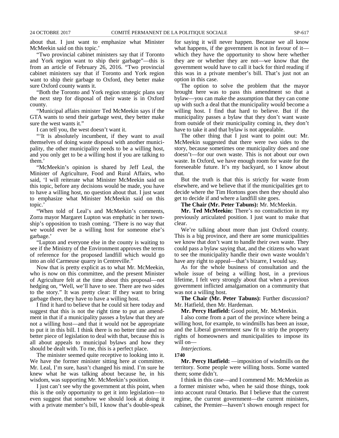about that. I just want to emphasize what Minister McMeekin said on this topic.'

"Two provincial cabinet ministers say that if Toronto and York region want to ship their garbage"—this is from an article of February 26, 2016. "Two provincial cabinet ministers say that if Toronto and York region want to ship their garbage to Oxford, they better make sure Oxford county wants it.

"Both the Toronto and York region strategic plans say the next step for disposal of their waste is in Oxford county.

"Municipal affairs minister Ted McMeekin says if the GTA wants to send their garbage west, they better make sure the west wants it."

I can tell you, the west doesn't want it.

"It is absolutely incumbent, if they want to avail themselves of doing waste disposal with another municipality, the other municipality needs to be a willing host, and you only get to be a willing host if you are talking to them.'

"McMeekin's opinion is shared by Jeff Leal, the Minister of Agriculture, Food and Rural Affairs, who said, 'I will reiterate what Minister McMeekin said on this topic, before any decisions would be made, you have to have a willing host, no question about that. I just want to emphasize what Minister McMeekin said on this topic.'

"When told of Leal's and McMeekin's comments, Zorra mayor Margaret Lupton was emphatic in her township's opposition to trash coming. 'There is no way that we would ever be a willing host for someone else's garbage.'

"Lupton and everyone else in the county is waiting to see if the Ministry of the Environment approves the terms of reference for the proposed landfill which would go into an old Carmeuse quarry in Centreville."

Now that is pretty explicit as to what Mr. McMeekin, who is now on this committee, and the present Minister of Agriculture felt at the time about this proposal—not hedging on, "Well, we'll have to see. There are two sides to the story." It was pretty clear: If they want to bring garbage there, they have to have a willing host.

I find it hard to believe that he could sit here today and suggest that this is not the right time to put an amendment in that if a municipality passes a bylaw that they are not a willing host—and that it would not be appropriate to put it in this bill. I think there is no better time and no better piece of legislation to deal with that, because this is all about appeals to municipal bylaws and how they should be dealt with. To me, this is a perfect place.

The minister seemed quite receptive to looking into it. We have the former minister sitting here at committee. Mr. Leal, I'm sure, hasn't changed his mind. I'm sure he knew what he was talking about because he, in his wisdom, was supporting Mr. McMeekin's position.

I just can't see why the government at this point, when this is the only opportunity to get it into legislation—to even suggest that somehow we should look at doing it with a private member's bill, I know that's double-speak for saying it will never happen. Because we all know what happens, if the government is not in favour of it which they have the opportunity to show here whether they are or whether they are not—we know that the government would have to call it back for third reading if this was in a private member's bill. That's just not an option in this case.

The option to solve the problem that the mayor brought here was to pass this amendment so that a bylaw—you can make the assumption that they can come up with such a deal that the municipality would become a willing host. I find that hard to believe. But if the municipality passes a bylaw that they don't want waste from outside of their municipality coming in, they don't have to take it and that bylaw is not appealable.

The other thing that I just want to point out: Mr. McMeekin suggested that there were two sides to the story, because sometimes one municipality does and one doesn't—for our own waste. This is not about our own waste. In Oxford, we have enough room for waste for the foreseeable future. It's my backyard, so I know about that.

But the truth is that this is strictly for waste from elsewhere, and we believe that if the municipalities get to decide where the Tim Hortons goes then they should also get to decide if and where a landfill site goes.

**The Chair (Mr. Peter Tabuns):** Mr. McMeekin.

**Mr. Ted McMeekin:** There's no contradiction in my previously articulated position. I just want to make that clear.

We're talking about more than just Oxford county. This is a big province, and there are some municipalities we know that don't want to handle their own waste. They could pass a bylaw saying that, and the citizens who want to see the municipality handle their own waste wouldn't have any right to appeal—that's bizarre, I would say.

As for the whole business of consultation and the whole issue of being a willing host, in a previous lifetime, I felt very strongly about that when a previous government inflicted amalgamation on a community that was not a willing host.

**The Chair (Mr. Peter Tabuns):** Further discussion? Mr. Hatfield, then Mr. Hardeman.

**Mr. Percy Hatfield:** Good point, Mr. McMeekin.

I also come from a part of the province where being a willing host, for example, to windmills has been an issue, and the Liberal government saw fit to strip the property rights of homeowners and municipalities to impose its will on—

*Interjections.*

**1740**

**Mr. Percy Hatfield:** —imposition of windmills on the territory. Some people were willing hosts. Some wanted them; some didn't.

I think in this case—and I commend Mr. McMeekin as a former minister who, when he said those things, took into account rural Ontario. But I believe that the current regime, the current government—the current ministers, cabinet, the Premier—haven't shown enough respect for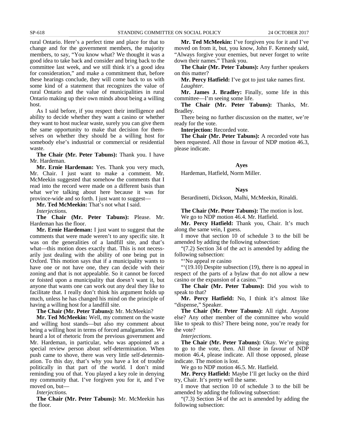rural Ontario. Here's a perfect time and place for that to change and for the government members, the majority members, to say, "You know what? We thought it was a good idea to take back and consider and bring back to the committee last week, and we still think it's a good idea for consideration," and make a commitment that, before these hearings conclude, they will come back to us with some kind of a statement that recognizes the value of rural Ontario and the value of municipalities in rural Ontario making up their own minds about being a willing host.

As I said before, if you respect their intelligence and ability to decide whether they want a casino or whether they want to host nuclear waste, surely you can give them the same opportunity to make that decision for themselves on whether they should be a willing host for somebody else's industrial or commercial or residential waste.

**The Chair (Mr. Peter Tabuns):** Thank you. I have Mr. Hardeman.

**Mr. Ernie Hardeman:** Yes. Thank you very much, Mr. Chair. I just want to make a comment. Mr. McMeekin suggested that somehow the comments that I read into the record were made on a different basis than what we're talking about here because it was for province-wide and so forth. I just want to suggest—

**Mr. Ted McMeekin:** That's not what I said.

*Interjections.*

**The Chair (Mr. Peter Tabuns):** Please. Mr. Hardeman has the floor.

**Mr. Ernie Hardeman:** I just want to suggest that the comments that were made weren't to any specific site. It was on the generalities of a landfill site, and that's what—this motion does exactly that. This is not necessarily just dealing with the ability of one being put in Oxford. This motion says that if a municipality wants to have one or not have one, they can decide with their zoning and that is not appealable. So it cannot be forced or foisted upon a municipality that doesn't want it, but anyone that wants one can work out any deal they like to facilitate that. I really don't think his argument holds up much, unless he has changed his mind on the principle of having a willing host for a landfill site.

**The Chair (Mr. Peter Tabuns):** Mr. McMeekin?

**Mr. Ted McMeekin:** Well, my comment on the waste and willing host stands—but also my comment about being a willing host in terms of forced amalgamation. We heard a lot of rhetoric from the previous government and Mr. Hardeman, in particular, who was appointed as a special review person about self-determination. When push came to shove, there was very little self-determination. To this day, that's why you have a lot of trouble politically in that part of the world. I don't mind reminding you of that. You played a key role in denying my community that. I've forgiven you for it, and I've moved on, but—

*Interjections.*

**The Chair (Mr. Peter Tabuns):** Mr. McMeekin has the floor.

**Mr. Ted McMeekin:** I've forgiven you for it and I've moved on from it, but, you know, John F. Kennedy said, "Always forgive your enemies, but never forget to write down their names." Thank you.

**The Chair (Mr. Peter Tabuns):** Any further speakers on this matter?

**Mr. Percy Hatfield:** I've got to just take names first. *Laughter.*

**Mr. James J. Bradley:** Finally, some life in this committee—I'm seeing some life.

**The Chair (Mr. Peter Tabuns):** Thanks, Mr. Bradley.

There being no further discussion on the matter, we're ready for the vote.

**Interjection:** Recorded vote.

**The Chair (Mr. Peter Tabuns):** A recorded vote has been requested. All those in favour of NDP motion 46.3, please indicate.

### **Ayes**

Hardeman, Hatfield, Norm Miller.

### **Nays**

Berardinetti, Dickson, Malhi, McMeekin, Rinaldi.

**The Chair (Mr. Peter Tabuns):** The motion is lost. We go to NDP motion 46.4. Mr. Hatfield.

**Mr. Percy Hatfield:** Thank you, Chair. It's much along the same vein, I guess.

I move that section 10 of schedule 3 to the bill be amended by adding the following subsection:

"(7.2) Section 34 of the act is amended by adding the following subsection:

"No appeal re casino"

"'(19.10) Despite subsection (19), there is no appeal in respect of the parts of a bylaw that do not allow a new casino or the expansion of a casino.'"

**The Chair (Mr. Peter Tabuns):** Did you wish to speak to that?

**Mr. Percy Hatfield:** No, I think it's almost like "dispense," Speaker.

**The Chair (Mr. Peter Tabuns):** All right. Anyone else? Any other member of the committee who would like to speak to this? There being none, you're ready for the vote?

*Interjections.*

**The Chair (Mr. Peter Tabuns):** Okay. We're going to go to the vote, then. All those in favour of NDP motion 46.4, please indicate. All those opposed, please indicate. The motion is lost.

We go to NDP motion 46.5. Mr. Hatfield.

**Mr. Percy Hatfield:** Maybe I'll get lucky on the third try, Chair. It's pretty well the same.

I move that section 10 of schedule 3 to the bill be amended by adding the following subsection:

"(7.3) Section 34 of the act is amended by adding the following subsection: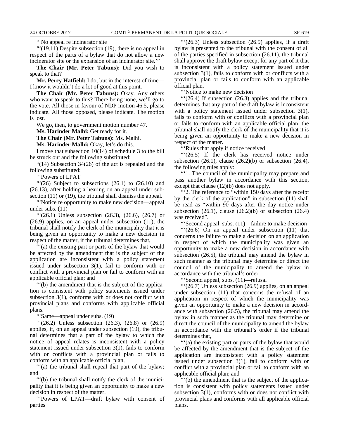"'No appeal re incinerator site

 $\lq(19.11)$  Despite subsection (19), there is no appeal in respect of the parts of a bylaw that do not allow a new incinerator site or the expansion of an incinerator site.'"

**The Chair (Mr. Peter Tabuns):** Did you wish to speak to that?

**Mr. Percy Hatfield:** I do, but in the interest of time— I know it wouldn't do a lot of good at this point.

**The Chair (Mr. Peter Tabuns):** Okay. Any others who want to speak to this? There being none, we'll go to the vote. All those in favour of NDP motion 46.5, please indicate. All those opposed, please indicate. The motion is lost.

We go, then, to government motion number 47.

**Ms. Harinder Malhi:** Get ready for it.

**The Chair (Mr. Peter Tabuns):** Ms. Malhi.

**Ms. Harinder Malhi:** Okay, let's do this.

I move that subsection 10(14) of schedule 3 to the bill be struck out and the following substituted:

"(14) Subsection 34(26) of the act is repealed and the following substituted:

"'Powers of LPAT

" $(26)$  Subject to subsections  $(26.1)$  to  $(26.10)$  and (26.13), after holding a hearing on an appeal under subsection (11) or (19), the tribunal shall dismiss the appeal.

"'Notice re opportunity to make new decision—appeal under subs. (11)

" $(26.1)$  Unless subsection  $(26.3)$ ,  $(26.6)$ ,  $(26.7)$  or (26.9) applies, on an appeal under subsection (11), the tribunal shall notify the clerk of the municipality that it is being given an opportunity to make a new decision in respect of the matter, if the tribunal determines that,

"'(a) the existing part or parts of the bylaw that would be affected by the amendment that is the subject of the application are inconsistent with a policy statement issued under subsection 3(1), fail to conform with or conflict with a provincial plan or fail to conform with an applicable official plan; and

"'(b) the amendment that is the subject of the application is consistent with policy statements issued under subsection 3(1), conforms with or does not conflict with provincial plans and conforms with applicable official plans.

"'Same—appeal under subs. (19)

"'(26.2) Unless subsection (26.3), (26.8) or (26.9) applies, if, on an appeal under subsection (19), the tribunal determines that a part of the bylaw to which the notice of appeal relates is inconsistent with a policy statement issued under subsection 3(1), fails to conform with or conflicts with a provincial plan or fails to conform with an applicable official plan,

"'(a) the tribunal shall repeal that part of the bylaw; and

"'(b) the tribunal shall notify the clerk of the municipality that it is being given an opportunity to make a new decision in respect of the matter.

"'Powers of LPAT—draft bylaw with consent of parties

 $\lq(26.3)$  Unless subsection (26.9) applies, if a draft bylaw is presented to the tribunal with the consent of all of the parties specified in subsection (26.11), the tribunal shall approve the draft bylaw except for any part of it that is inconsistent with a policy statement issued under subsection 3(1), fails to conform with or conflicts with a provincial plan or fails to conform with an applicable official plan.

"'Notice to make new decision

"'(26.4) If subsection (26.3) applies and the tribunal determines that any part of the draft bylaw is inconsistent with a policy statement issued under subsection 3(1), fails to conform with or conflicts with a provincial plan or fails to conform with an applicable official plan, the tribunal shall notify the clerk of the municipality that it is being given an opportunity to make a new decision in respect of the matter.

"'Rules that apply if notice received

"'(26.5) If the clerk has received notice under subsection  $(26.1)$ , clause  $(26.2)(b)$  or subsection  $(26.4)$ , the following rules apply:

"'1. The council of the municipality may prepare and pass another bylaw in accordance with this section, except that clause (12)(b) does not apply.

"'2. The reference to "within 150 days after the receipt by the clerk of the application" in subsection (11) shall be read as "within 90 days after the day notice under subsection  $(26.1)$ , clause  $(26.2)(b)$  or subsection  $(26.4)$ was received".

"'Second appeal, subs. (11)—failure to make decision

"'(26.6) On an appeal under subsection (11) that concerns the failure to make a decision on an application in respect of which the municipality was given an opportunity to make a new decision in accordance with subsection (26.5), the tribunal may amend the bylaw in such manner as the tribunal may determine or direct the council of the municipality to amend the bylaw in accordance with the tribunal's order.

"'Second appeal, subs. (11)—refusal

"'(26.7) Unless subsection (26.9) applies, on an appeal under subsection (11) that concerns the refusal of an application in respect of which the municipality was given an opportunity to make a new decision in accordance with subsection (26.5), the tribunal may amend the bylaw in such manner as the tribunal may determine or direct the council of the municipality to amend the bylaw in accordance with the tribunal's order if the tribunal determines that,

"'(a) the existing part or parts of the bylaw that would be affected by the amendment that is the subject of the application are inconsistent with a policy statement issued under subsection 3(1), fail to conform with or conflict with a provincial plan or fail to conform with an applicable official plan; and

"'(b) the amendment that is the subject of the application is consistent with policy statements issued under subsection 3(1), conforms with or does not conflict with provincial plans and conforms with all applicable official plans.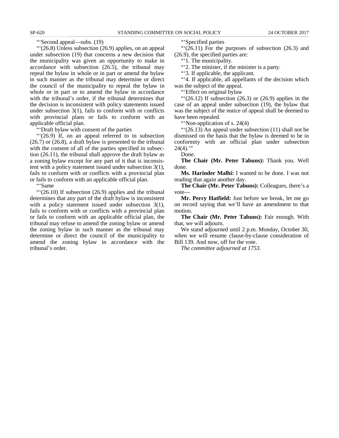#### "'Second appeal—subs. (19)

"'(26.8) Unless subsection (26.9) applies, on an appeal under subsection (19) that concerns a new decision that the municipality was given an opportunity to make in accordance with subsection (26.5), the tribunal may repeal the bylaw in whole or in part or amend the bylaw in such manner as the tribunal may determine or direct the council of the municipality to repeal the bylaw in whole or in part or to amend the bylaw in accordance with the tribunal's order, if the tribunal determines that the decision is inconsistent with policy statements issued under subsection  $3(1)$ , fails to conform with or conflicts with provincial plans or fails to conform with an applicable official plan.

"'Draft bylaw with consent of the parties

"'(26.9) If, on an appeal referred to in subsection (26.7) or (26.8), a draft bylaw is presented to the tribunal with the consent of all of the parties specified in subsection (26.11), the tribunal shall approve the draft bylaw as a zoning bylaw except for any part of it that is inconsistent with a policy statement issued under subsection 3(1), fails to conform with or conflicts with a provincial plan or fails to conform with an applicable official plan.

"'Same

"'(26.10) If subsection (26.9) applies and the tribunal determines that any part of the draft bylaw is inconsistent with a policy statement issued under subsection 3(1), fails to conform with or conflicts with a provincial plan or fails to conform with an applicable official plan, the tribunal may refuse to amend the zoning bylaw or amend the zoning bylaw in such manner as the tribunal may determine or direct the council of the municipality to amend the zoning bylaw in accordance with the tribunal's order.

"'Specified parties

 $\cdot\cdot\cdot(26.11)$  For the purposes of subsection (26.3) and (26.9), the specified parties are:

"'1. The municipality.

"'2. The minister, if the minister is a party.

"'3. If applicable, the applicant.

"'4. If applicable, all appellants of the decision which was the subject of the appeal.

"'Effect on original bylaw

" $(26.12)$  If subsection  $(26.3)$  or  $(26.9)$  applies in the case of an appeal under subsection (19), the bylaw that was the subject of the notice of appeal shall be deemed to have been repealed.

"Non-application of s. 24(4)

"'(26.13) An appeal under subsection (11) shall not be dismissed on the basis that the bylaw is deemed to be in conformity with an official plan under subsection  $24(4)$ ."

Done.

**The Chair (Mr. Peter Tabuns):** Thank you. Well done.

**Ms. Harinder Malhi:** I wanted to be done. I was not reading that again another day.

**The Chair (Mr. Peter Tabuns):** Colleagues, there's a vote

**Mr. Percy Hatfield:** Just before we break, let me go on record saying that we'll have an amendment to that motion.

**The Chair (Mr. Peter Tabuns):** Fair enough. With that, we will adjourn.

We stand adjourned until 2 p.m. Monday, October 30, when we will resume clause-by-clause consideration of Bill 139. And now, off for the vote.

*The committee adjourned at 1753.*